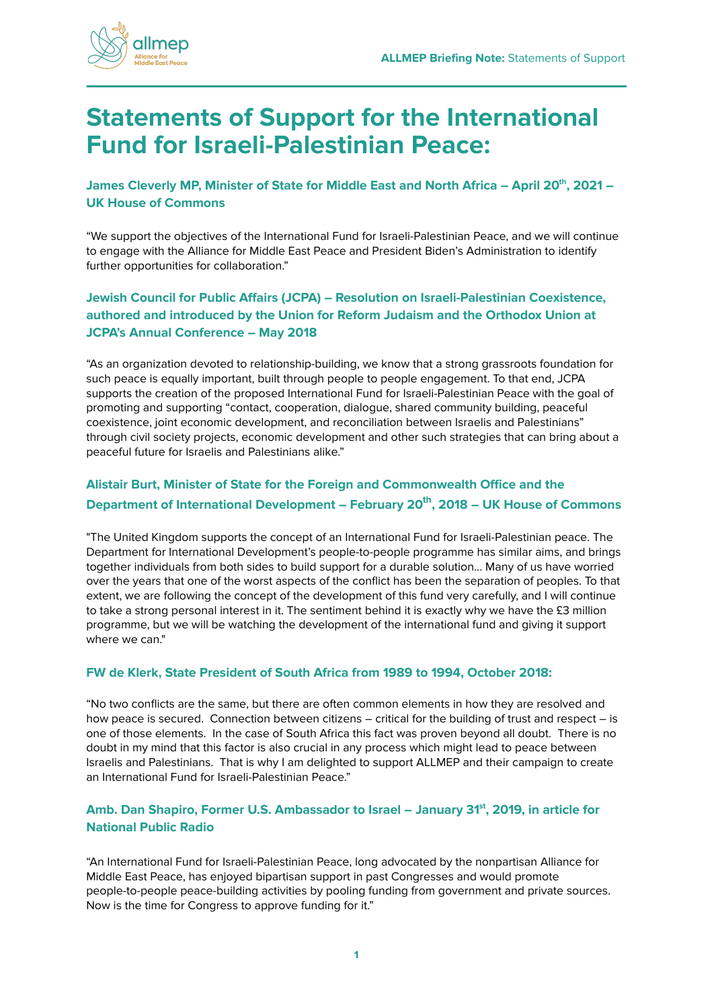

# **Statements of Support for the International Fund for Israeli-Palestinian Peace:**

**James Cleverly MP, Minister of State for Middle East and North Africa – April 20th, 2021 – UK House of Commons**

"We support the objectives of the International Fund for Israeli-Palestinian Peace, and we will continue to engage with the Alliance for Middle East Peace and President Biden's Administration to identify further opportunities for collaboration."

## **Jewish Council for Public Affairs (JCPA) – Resolution on Israeli-Palestinian Coexistence, authored and introduced by the Union for Reform Judaism and the Orthodox Union at JCPA's Annual Conference – May 2018**

"As an organization devoted to relationship-building, we know that a strong grassroots foundation for such peace is equally important, built through people to people engagement. To that end, JCPA supports the creation of the proposed International Fund for Israeli-Palestinian Peace with the goal of promoting and supporting "contact, cooperation, dialogue, shared community building, peaceful coexistence, joint economic development, and reconciliation between Israelis and Palestinians" through civil society projects, economic development and other such strategies that can bring about a peaceful future for Israelis and Palestinians alike."

# **Alistair Burt, Minister of State for the Foreign and Commonwealth Office and the Department of International Development – February 20th, 2018 – UK House of Commons**

"The United Kingdom supports the concept of an International Fund for Israeli-Palestinian peace. The Department for International Development's people-to-people programme has similar aims, and brings together individuals from both sides to build support for a durable solution... Many of us have worried over the years that one of the worst aspects of the conflict has been the separation of peoples. To that extent, we are following the concept of the development of this fund very carefully, and I will continue to take a strong personal interest in it. The sentiment behind it is exactly why we have the £3 million programme, but we will be watching the development of the international fund and giving it support where we can"

#### **FW de Klerk, State President of South Africa from 1989 to 1994, October 2018:**

"No two conflicts are the same, but there are often common elements in how they are resolved and how peace is secured. Connection between citizens – critical for the building of trust and respect – is one of those elements. In the case of South Africa this fact was proven beyond all doubt. There is no doubt in my mind that this factor is also crucial in any process which might lead to peace between Israelis and Palestinians. That is why I am delighted to support ALLMEP and their campaign to create an International Fund for Israeli-Palestinian Peace."

#### **Amb. Dan Shapiro, Former U.S. Ambassador to Israel – January 31st, 2019, in article for National Public Radio**

"An [International Fund for Israeli-Palestinian Peace,](http://www.allmep.org/international-fund/) long advocated by the nonpartisan [Alliance for](http://www.allmep.org/) [Middle East Peace,](http://www.allmep.org/) has enjoyed [bipartisan support in past Congresses](https://www.congress.gov/bill/115th-congress/house-bill/1221?r=315) and would promote people-to-people peace-building activities by pooling funding from government and private sources. Now is the time for Congress to approve funding for it."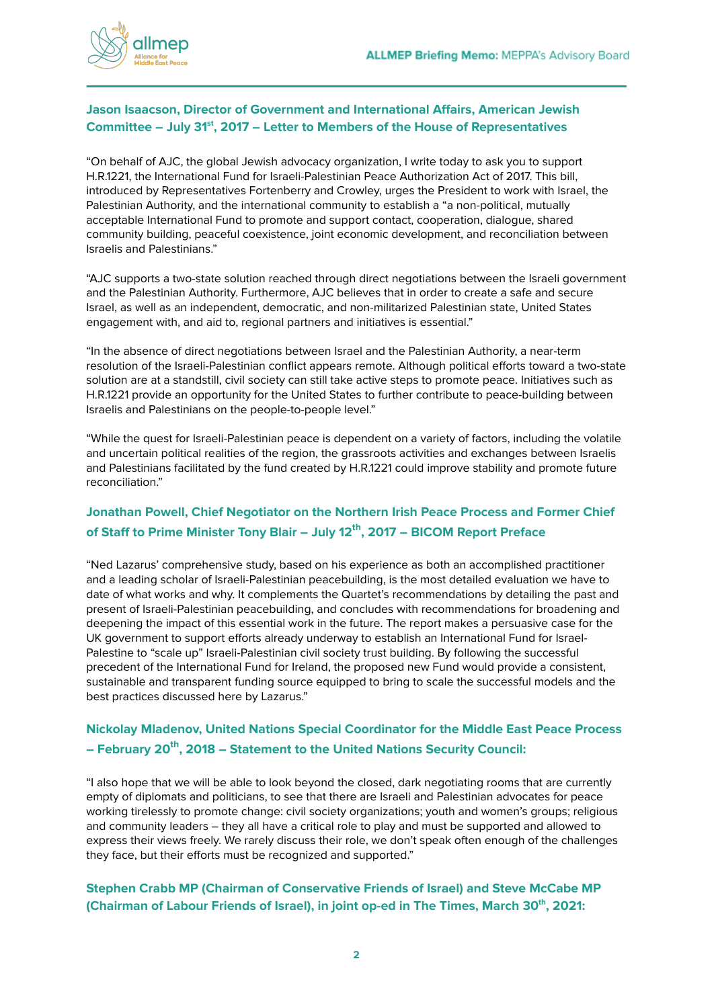

## **Jason Isaacson, Director of Government and International Affairs, American Jewish Committee – July 31 st , 2017 – Letter to Members of the House of Representatives**

"On behalf of AJC, the global Jewish advocacy organization, I write today to ask you to support H.R.1221, the International Fund for Israeli-Palestinian Peace Authorization Act of 2017. This bill, introduced by Representatives Fortenberry and Crowley, urges the President to work with Israel, the Palestinian Authority, and the international community to establish a "a non-political, mutually acceptable International Fund to promote and support contact, cooperation, dialogue, shared community building, peaceful coexistence, joint economic development, and reconciliation between Israelis and Palestinians."

"AJC supports a two-state solution reached through direct negotiations between the Israeli government and the Palestinian Authority. Furthermore, AJC believes that in order to create a safe and secure Israel, as well as an independent, democratic, and non-militarized Palestinian state, United States engagement with, and aid to, regional partners and initiatives is essential."

"In the absence of direct negotiations between Israel and the Palestinian Authority, a near-term resolution of the Israeli-Palestinian conflict appears remote. Although political efforts toward a two-state solution are at a standstill, civil society can still take active steps to promote peace. Initiatives such as H.R.1221 provide an opportunity for the United States to further contribute to peace-building between Israelis and Palestinians on the people-to-people level."

"While the quest for Israeli-Palestinian peace is dependent on a variety of factors, including the volatile and uncertain political realities of the region, the grassroots activities and exchanges between Israelis and Palestinians facilitated by the fund created by H.R.1221 could improve stability and promote future reconciliation."

# **Jonathan Powell, Chief Negotiator on the Northern Irish Peace Process and Former Chief of Staff to Prime Minister Tony Blair – July 12 th , 2017 – BICOM Report Preface**

"Ned Lazarus' comprehensive study, based on his experience as both an accomplished practitioner and a leading scholar of Israeli-Palestinian peacebuilding, is the most detailed evaluation we have to date of what works and why. It complements the Quartet's recommendations by detailing the past and present of Israeli-Palestinian peacebuilding, and concludes with recommendations for broadening and deepening the impact of this essential work in the future. The report makes a persuasive case for the UK government to support efforts already underway to establish an International Fund for Israel-Palestine to "scale up" Israeli-Palestinian civil society trust building. By following the successful precedent of the International Fund for Ireland, the proposed new Fund would provide a consistent, sustainable and transparent funding source equipped to bring to scale the successful models and the best practices discussed here by Lazarus."

# **Nickolay Mladenov, United Nations Special Coordinator for the Middle East Peace Process – February 20 th , 2018 – Statement to the United Nations Security Council:**

"I also hope that we will be able to look beyond the closed, dark negotiating rooms that are currently empty of diplomats and politicians, to see that there are Israeli and Palestinian advocates for peace working tirelessly to promote change: civil society organizations; youth and women's groups; religious and community leaders – they all have a critical role to play and must be supported and allowed to express their views freely. We rarely discuss their role, we don't speak often enough of the challenges they face, but their efforts must be recognized and supported."

## **Stephen Crabb MP (Chairman of Conservative Friends of Israel) and Steve McCabe MP (Chairman of Labour Friends of Israel), in joint op-ed in The Times, March 30 th , 2021:**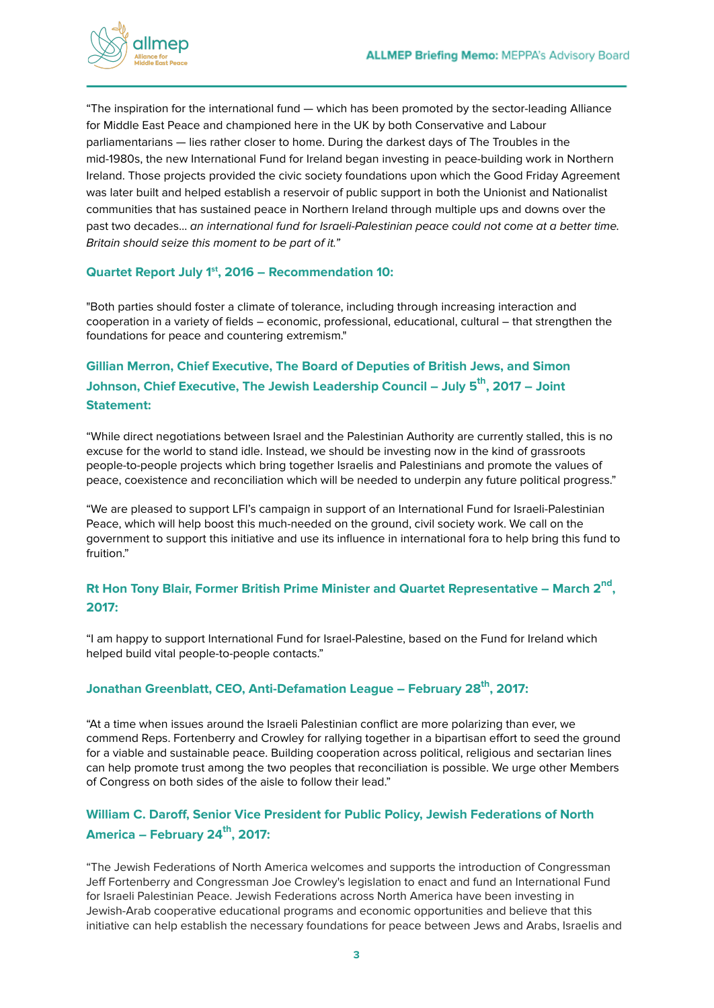

"The inspiration for the international fund — which has been promoted by the sector-leading Alliance for Middle East Peace and championed here in the UK by both Conservative and Labour parliamentarians — lies rather closer to home. During the darkest days of The Troubles in the mid-1980s, the new [International](https://www.internationalfundforireland.com) Fund for Ireland began investing in peace-building work in Northern Ireland. Those projects provided the civic society foundations upon which the Good Friday Agreement was later built and helped establish a reservoir of public support in both the Unionist and Nationalist communities that has sustained peace in Northern Ireland through multiple ups and downs over the past two decades… an international fund for Israeli-Palestinian peace could not come at a better time. Britain should seize this moment to be part of it."

#### **Quartet Report July 1 st , 2016 – Recommendation 10:**

"Both parties should foster a climate of tolerance, including through increasing interaction and cooperation in a variety of fields – economic, professional, educational, cultural – that strengthen the foundations for peace and countering extremism."

# **Gillian Merron, Chief Executive, The Board of Deputies of British Jews, and Simon Johnson, Chief Executive, The Jewish Leadership Council – July 5 th , 2017 – Joint Statement:**

"While direct negotiations between Israel and the Palestinian Authority are currently stalled, this is no excuse for the world to stand idle. Instead, we should be investing now in the kind of grassroots people-to-people projects which bring together Israelis and Palestinians and promote the values of peace, coexistence and reconciliation which will be needed to underpin any future political progress."

"We are pleased to support LFI's campaign in support of an International Fund for Israeli-Palestinian Peace, which will help boost this much-needed on the ground, civil society work. We call on the government to support this initiative and use its influence in international fora to help bring this fund to fruition."

# **Rt Hon Tony Blair, Former British Prime Minister and Quartet Representative – March 2 nd , 2017:**

"I am happy to support International Fund for Israel-Palestine, based on the Fund for Ireland which helped build vital people-to-people contacts."

## **Jonathan Greenblatt, CEO, Anti-Defamation League – February 28 th , 2017:**

"At a time when issues around the Israeli Palestinian conflict are more polarizing than ever, we commend Reps. Fortenberry and Crowley for rallying together in a bipartisan effort to seed the ground for a viable and sustainable peace. Building cooperation across political, religious and sectarian lines can help promote trust among the two peoples that reconciliation is possible. We urge other Members of Congress on both sides of the aisle to follow their lead."

# **William C. Daroff, Senior Vice President for Public Policy, Jewish Federations of North America – February 24 th , 2017:**

"The Jewish Federations of North America welcomes and supports the introduction of Congressman Jeff Fortenberry and Congressman Joe Crowley's legislation to enact and fund an International Fund for Israeli Palestinian Peace. Jewish Federations across North America have been investing in Jewish-Arab cooperative educational programs and economic opportunities and believe that this initiative can help establish the necessary foundations for peace between Jews and Arabs, Israelis and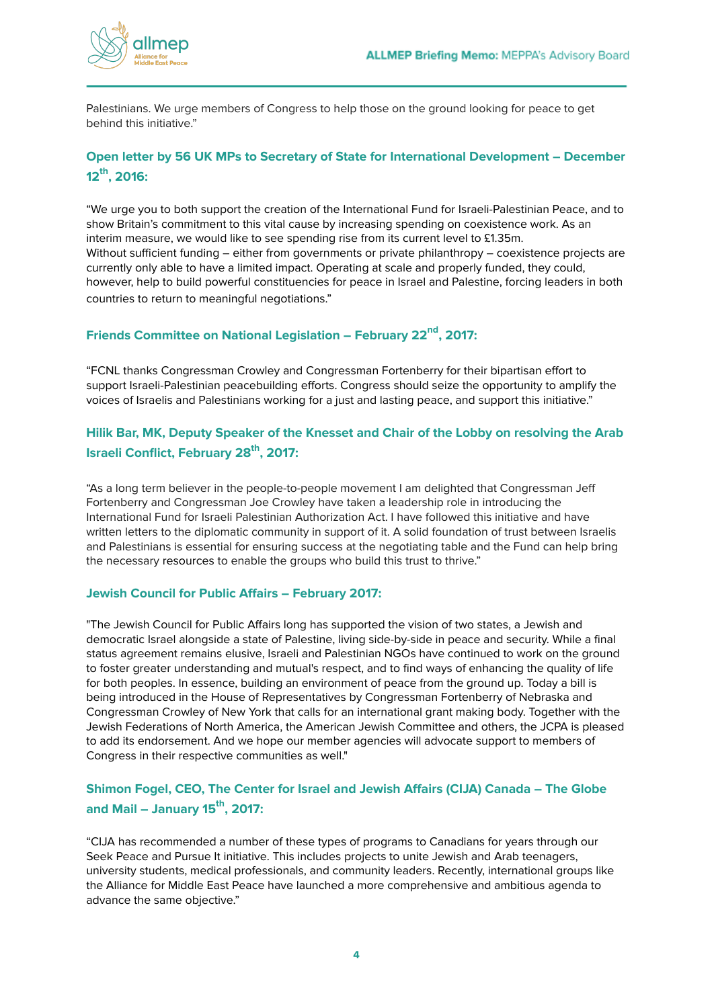

Palestinians. We urge members of Congress to help those on the ground looking for peace to get behind this initiative."

# **Open letter by 56 UK MPs to Secretary of State for International Development – December 12 th , 2016:**

"We urge you to both support the creation of the International Fund for Israeli-Palestinian Peace, and to show Britain's commitment to this vital cause by increasing spending on coexistence work. As an interim measure, we would like to see spending rise from its current level to £1.35m. Without sufficient funding – either from governments or private philanthropy – coexistence projects are currently only able to have a limited impact. Operating at scale and properly funded, they could, however, help to build powerful constituencies for peace in Israel and Palestine, forcing leaders in both countries to return to meaningful negotiations."

## **Friends Committee on National Legislation – February 22 nd , 2017:**

"FCNL thanks Congressman Crowley and Congressman Fortenberry for their bipartisan effort to support Israeli-Palestinian peacebuilding efforts. Congress should seize the opportunity to amplify the voices of Israelis and Palestinians working for a just and lasting peace, and support this initiative."

# **Hilik Bar, MK, Deputy Speaker of the Knesset and Chair of the Lobby on resolving the Arab Israeli Conflict, February 28 th , 2017:**

"As a long term believer in the people-to-people movement I am delighted that Congressman Jeff Fortenberry and Congressman Joe Crowley have taken a leadership role in introducing the International Fund for Israeli Palestinian Authorization Act. I have followed this initiative and have written letters to the diplomatic community in support of it. A solid foundation of trust between Israelis and Palestinians is essential for ensuring success at the negotiating table and the Fund can help bring the necessary resources to enable the groups who build this trust to thrive."

#### **Jewish Council for Public Affairs – February 2017:**

"The Jewish Council for Public Affairs long has supported the vision of two states, a Jewish and democratic Israel alongside a state of Palestine, living side-by-side in peace and security. While a final status agreement remains elusive, Israeli and Palestinian NGOs have continued to work on the ground to foster greater understanding and mutual's respect, and to find ways of enhancing the quality of life for both peoples. In essence, building an environment of peace from the ground up. Today a bill is being introduced in the House of Representatives by Congressman Fortenberry of Nebraska and Congressman Crowley of New York that calls for an international grant making body. Together with the Jewish Federations of North America, the American Jewish Committee and others, the JCPA is pleased to add its endorsement. And we hope our member agencies will advocate support to members of Congress in their respective communities as well."

# **Shimon Fogel, CEO, The Center for Israel and Jewish Affairs (CIJA) Canada – The Globe and Mail – January 15 th , 2017:**

"CIJA has recommended a number of these types of programs to Canadians for years through our Seek Peace and Pursue It initiative. This includes projects to unite Jewish and Arab teenagers, university students, medical professionals, and community leaders. Recently, international groups like the Alliance for Middle East Peace have launched a more comprehensive and ambitious agenda to advance the same objective."